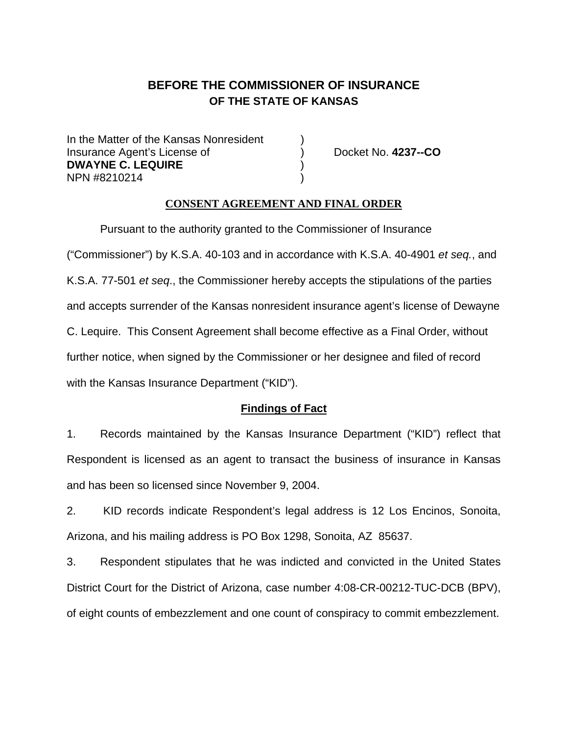# **BEFORE THE COMMISSIONER OF INSURANCE OF THE STATE OF KANSAS**

In the Matter of the Kansas Nonresident Insurance Agent's License of ) Docket No. **4237--CO DWAYNE C. LEQUIRE** ) NPN #8210214 )

### **CONSENT AGREEMENT AND FINAL ORDER**

Pursuant to the authority granted to the Commissioner of Insurance ("Commissioner") by K.S.A. 40-103 and in accordance with K.S.A. 40-4901 *et seq.*, and K.S.A. 77-501 *et seq*., the Commissioner hereby accepts the stipulations of the parties and accepts surrender of the Kansas nonresident insurance agent's license of Dewayne C. Lequire. This Consent Agreement shall become effective as a Final Order, without further notice, when signed by the Commissioner or her designee and filed of record with the Kansas Insurance Department ("KID").

## **Findings of Fact**

1. Records maintained by the Kansas Insurance Department ("KID") reflect that Respondent is licensed as an agent to transact the business of insurance in Kansas and has been so licensed since November 9, 2004.

2. KID records indicate Respondent's legal address is 12 Los Encinos, Sonoita, Arizona, and his mailing address is PO Box 1298, Sonoita, AZ 85637.

3. Respondent stipulates that he was indicted and convicted in the United States District Court for the District of Arizona, case number 4:08-CR-00212-TUC-DCB (BPV), of eight counts of embezzlement and one count of conspiracy to commit embezzlement.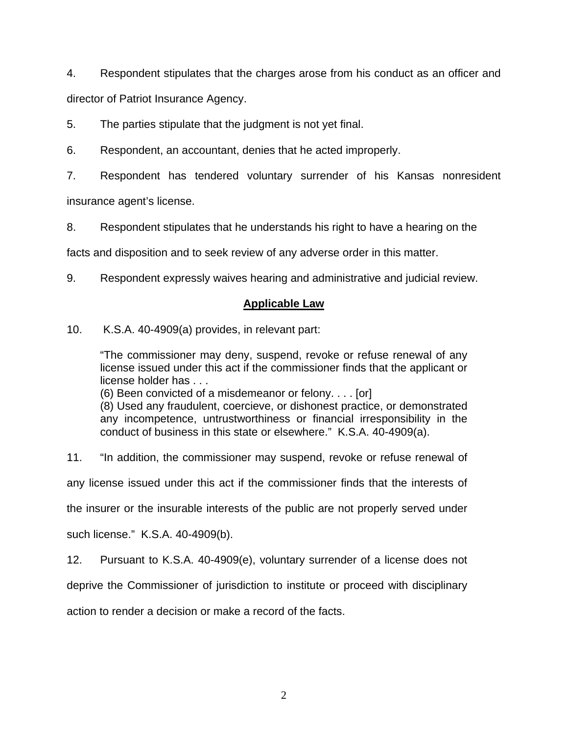4. Respondent stipulates that the charges arose from his conduct as an officer and director of Patriot Insurance Agency.

5. The parties stipulate that the judgment is not yet final.

6. Respondent, an accountant, denies that he acted improperly.

7. Respondent has tendered voluntary surrender of his Kansas nonresident

insurance agent's license.

8. Respondent stipulates that he understands his right to have a hearing on the

facts and disposition and to seek review of any adverse order in this matter.

9. Respondent expressly waives hearing and administrative and judicial review.

# **Applicable Law**

10. K.S.A. 40-4909(a) provides, in relevant part:

"The commissioner may deny, suspend, revoke or refuse renewal of any license issued under this act if the commissioner finds that the applicant or license holder has . . .

(6) Been convicted of a misdemeanor or felony. . . . [or]

(8) Used any fraudulent, coercieve, or dishonest practice, or demonstrated any incompetence, untrustworthiness or financial irresponsibility in the conduct of business in this state or elsewhere." K.S.A. 40-4909(a).

11. "In addition, the commissioner may suspend, revoke or refuse renewal of

any license issued under this act if the commissioner finds that the interests of

the insurer or the insurable interests of the public are not properly served under

such license." K.S.A. 40-4909(b).

12. Pursuant to K.S.A. 40-4909(e), voluntary surrender of a license does not

deprive the Commissioner of jurisdiction to institute or proceed with disciplinary

action to render a decision or make a record of the facts.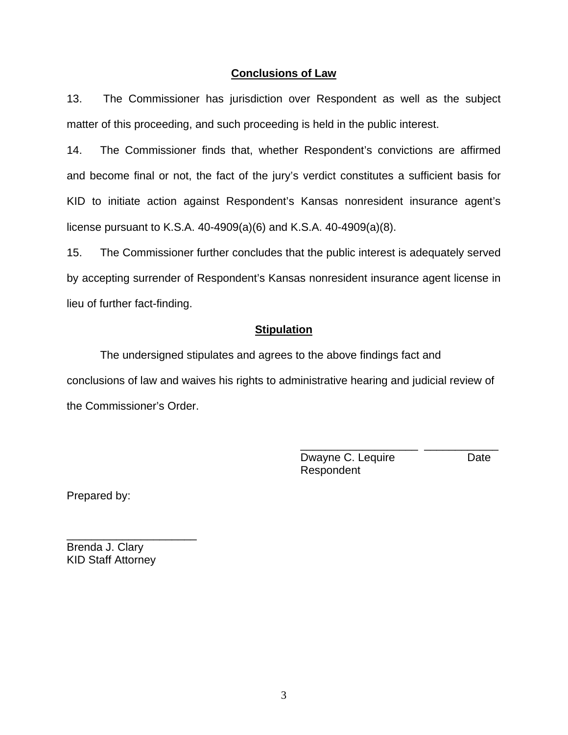### **Conclusions of Law**

13. The Commissioner has jurisdiction over Respondent as well as the subject matter of this proceeding, and such proceeding is held in the public interest.

14. The Commissioner finds that, whether Respondent's convictions are affirmed and become final or not, the fact of the jury's verdict constitutes a sufficient basis for KID to initiate action against Respondent's Kansas nonresident insurance agent's license pursuant to K.S.A. 40-4909(a)(6) and K.S.A. 40-4909(a)(8).

15. The Commissioner further concludes that the public interest is adequately served by accepting surrender of Respondent's Kansas nonresident insurance agent license in lieu of further fact-finding.

#### **Stipulation**

The undersigned stipulates and agrees to the above findings fact and conclusions of law and waives his rights to administrative hearing and judicial review of the Commissioner's Order.

 $\frac{1}{\sqrt{2}}$  ,  $\frac{1}{\sqrt{2}}$  ,  $\frac{1}{\sqrt{2}}$  ,  $\frac{1}{\sqrt{2}}$  ,  $\frac{1}{\sqrt{2}}$  ,  $\frac{1}{\sqrt{2}}$  ,  $\frac{1}{\sqrt{2}}$  ,  $\frac{1}{\sqrt{2}}$  ,  $\frac{1}{\sqrt{2}}$  ,  $\frac{1}{\sqrt{2}}$  ,  $\frac{1}{\sqrt{2}}$  ,  $\frac{1}{\sqrt{2}}$  ,  $\frac{1}{\sqrt{2}}$  ,  $\frac{1}{\sqrt{2}}$  ,  $\frac{1}{\sqrt{2}}$ 

Dwayne C. Lequire **Date** Respondent

Prepared by:

Brenda J. Clary KID Staff Attorney

\_\_\_\_\_\_\_\_\_\_\_\_\_\_\_\_\_\_\_\_\_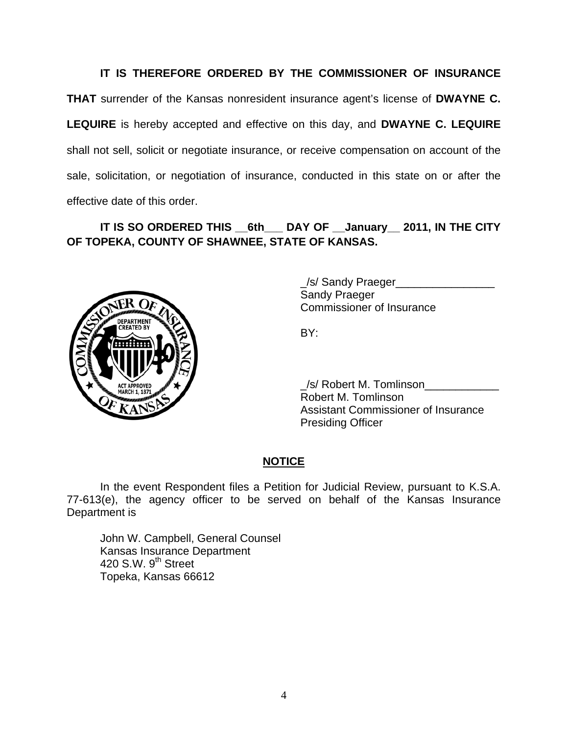# **IT IS THEREFORE ORDERED BY THE COMMISSIONER OF INSURANCE**

**THAT** surrender of the Kansas nonresident insurance agent's license of **DWAYNE C. LEQUIRE** is hereby accepted and effective on this day, and **DWAYNE C. LEQUIRE**  shall not sell, solicit or negotiate insurance, or receive compensation on account of the sale, solicitation, or negotiation of insurance, conducted in this state on or after the effective date of this order.

# **IT IS SO ORDERED THIS \_\_6th\_\_\_ DAY OF \_\_January\_\_ 2011, IN THE CITY OF TOPEKA, COUNTY OF SHAWNEE, STATE OF KANSAS.**



 \_/s/ Sandy Praeger\_\_\_\_\_\_\_\_\_\_\_\_\_\_\_\_ Sandy Praeger Commissioner of Insurance

/s/ Robert M. Tomlinson Robert M. Tomlinson Assistant Commissioner of Insurance Presiding Officer

# **NOTICE**

In the event Respondent files a Petition for Judicial Review, pursuant to K.S.A. 77-613(e), the agency officer to be served on behalf of the Kansas Insurance Department is

 John W. Campbell, General Counsel Kansas Insurance Department 420 S.W.  $9<sup>th</sup>$  Street Topeka, Kansas 66612